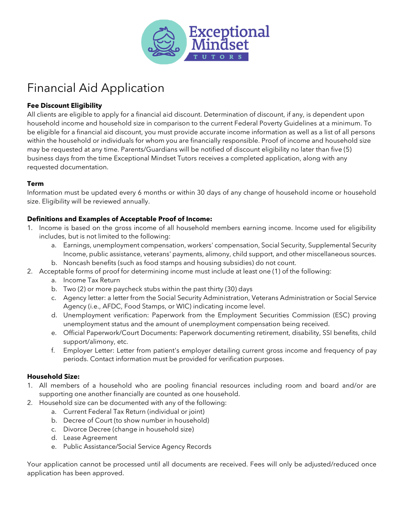

# Financial Aid Application

### **Fee Discount Eligibility**

All clients are eligible to apply for a financial aid discount. Determination of discount, if any, is dependent upon household income and household size in comparison to the current Federal Poverty Guidelines at a minimum. To be eligible for a financial aid discount, you must provide accurate income information as well as a list of all persons within the household or individuals for whom you are financially responsible. Proof of income and household size may be requested at any time. Parents/Guardians will be notified of discount eligibility no later than five (5) business days from the time Exceptional Mindset Tutors receives a completed application, along with any requested documentation.

#### **Term**

Information must be updated every 6 months or within 30 days of any change of household income or household size. Eligibility will be reviewed annually.

#### **Definitions and Examples of Acceptable Proof of Income:**

- 1. Income is based on the gross income of all household members earning income. Income used for eligibility includes, but is not limited to the following:
	- a. Earnings, unemployment compensation, workers' compensation, Social Security, Supplemental Security Income, public assistance, veterans' payments, alimony, child support, and other miscellaneous sources.
	- b. Noncash benefits (such as food stamps and housing subsidies) do not count.
- 2. Acceptable forms of proof for determining income must include at least one (1) of the following:
	- a. Income Tax Return
	- b. Two (2) or more paycheck stubs within the past thirty (30) days
	- c. Agency letter: a letter from the Social Security Administration, Veterans Administration or Social Service Agency (i.e., AFDC, Food Stamps, or WIC) indicating income level.
	- d. Unemployment verification: Paperwork from the Employment Securities Commission (ESC) proving unemployment status and the amount of unemployment compensation being received.
	- e. Official Paperwork/Court Documents: Paperwork documenting retirement, disability, SSI benefits, child support/alimony, etc.
	- f. Employer Letter: Letter from patient's employer detailing current gross income and frequency of pay periods. Contact information must be provided for verification purposes.

#### **Household Size:**

- 1. All members of a household who are pooling financial resources including room and board and/or are supporting one another financially are counted as one household.
- 2. Household size can be documented with any of the following:
	- a. Current Federal Tax Return (individual or joint)
	- b. Decree of Court (to show number in household)
	- c. Divorce Decree (change in household size)
	- d. Lease Agreement
	- e. Public Assistance/Social Service Agency Records

Your application cannot be processed until all documents are received. Fees will only be adjusted/reduced once application has been approved.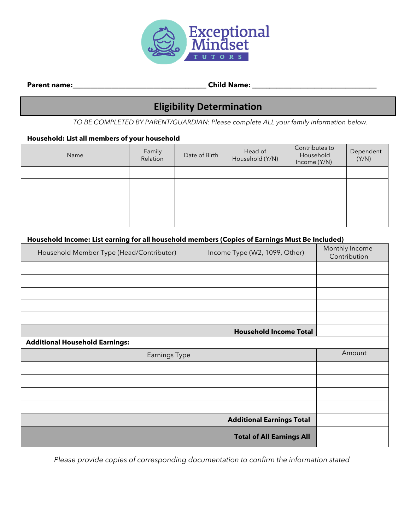

**Parent name:\_\_\_\_\_\_\_\_\_\_\_\_\_\_\_\_\_\_\_\_\_\_\_\_\_\_\_\_\_\_\_\_\_\_\_\_\_\_ Child Name: \_\_\_\_\_\_\_\_\_\_\_\_\_\_\_\_\_\_\_\_\_\_\_\_\_\_\_\_\_\_\_\_\_\_\_\_**

# **Eligibility Determination**

*TO BE COMPLETED BY PARENT/GUARDIAN: Please complete ALL your family information below.*

## **Household: List all members of your household**

| Name | Family<br>Relation | Date of Birth | Head of<br>Household (Y/N) | Contributes to<br>Household<br>Income (Y/N) | Dependent<br>(Y/N) |
|------|--------------------|---------------|----------------------------|---------------------------------------------|--------------------|
|      |                    |               |                            |                                             |                    |
|      |                    |               |                            |                                             |                    |
|      |                    |               |                            |                                             |                    |
|      |                    |               |                            |                                             |                    |
|      |                    |               |                            |                                             |                    |

#### **Household Income: List earning for all household members (Copies of Earnings Must Be Included)**

| Household Member Type (Head/Contributor) | Income Type (W2, 1099, Other)    | Monthly Income<br>Contribution |
|------------------------------------------|----------------------------------|--------------------------------|
|                                          |                                  |                                |
|                                          |                                  |                                |
|                                          |                                  |                                |
|                                          |                                  |                                |
|                                          |                                  |                                |
|                                          | <b>Household Income Total</b>    |                                |
| <b>Additional Household Earnings:</b>    |                                  |                                |
| <b>Earnings Type</b>                     | Amount                           |                                |
|                                          |                                  |                                |
|                                          |                                  |                                |
|                                          |                                  |                                |
|                                          |                                  |                                |
|                                          | <b>Additional Earnings Total</b> |                                |
|                                          |                                  |                                |

*Please provide copies of corresponding documentation to confirm the information stated*